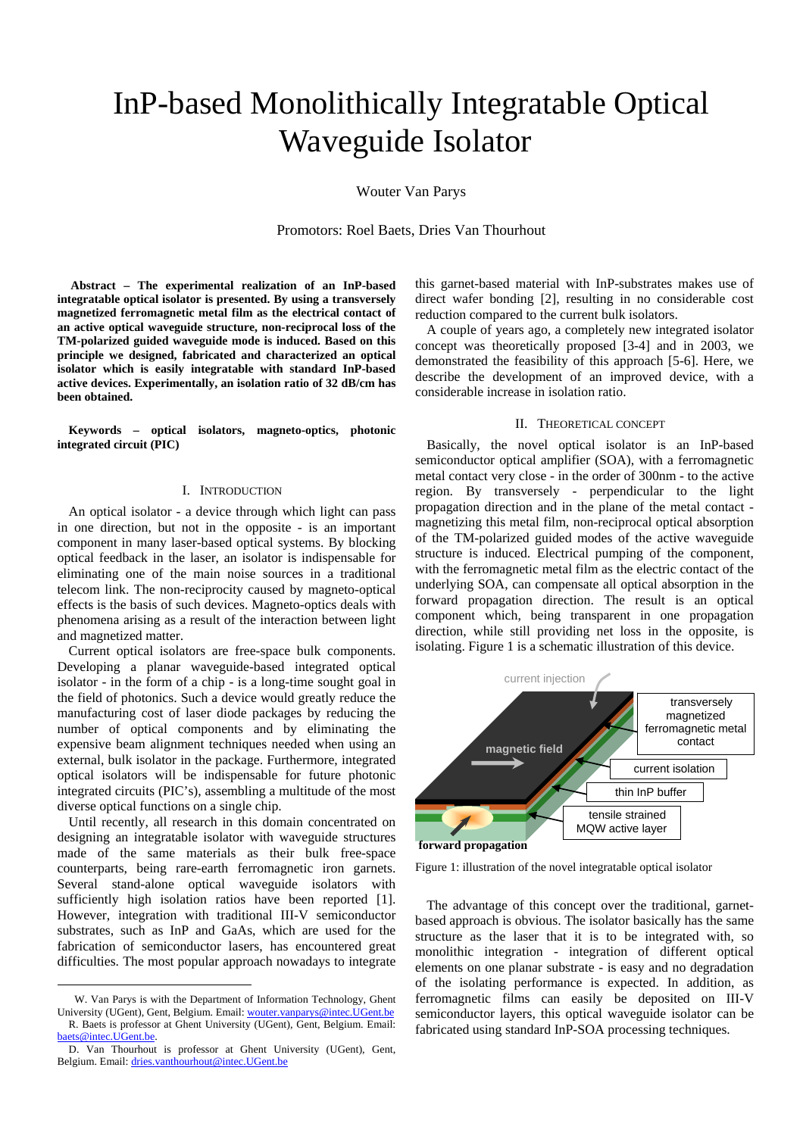# InP-based Monolithically Integratable Optical Waveguide Isolator

Wouter Van Parys

Promotors: Roel Baets, Dries Van Thourhout

 **[A](#page-0-1)bstract – The experimental realization of an InP-based integratable optical isolator is presented. By using a transversely magnetized ferromagnetic metal film as the electrical contact of an active optical waveguide structure, non-reciprocal loss of the TM-polarized guided waveguide mode is induced. Based on this principle we designed, fabricated and characterized an optical isolator which is easily integratable with standard InP-based active devices. Experimentally, an isolation ratio of 32 dB/cm has been obtained.** 

**Keywords – optical isolators, magneto-optics, photonic integrated circuit (PIC)** 

### I. INTRODUCTION

An optical isolator - a device through which light can pass in one direction, but not in the opposite - is an important component in many laser-based optical systems. By blocking optical feedback in the laser, an isolator is indispensable for eliminating one of the main noise sources in a traditional telecom link. The non-reciprocity caused by magneto-optical effects is the basis of such devices. Magneto-optics deals with phenomena arising as a result of the interaction between light and magnetized matter.

Current optical isolators are free-space bulk components. Developing a planar waveguide-based integrated optical isolator - in the form of a chip - is a long-time sought goal in the field of photonics. Such a device would greatly reduce the manufacturing cost of laser diode packages by reducing the number of optical components and by eliminating the expensive beam alignment techniques needed when using an external, bulk isolator in the package. Furthermore, integrated optical isolators will be indispensable for future photonic integrated circuits (PIC's), assembling a multitude of the most diverse optical functions on a single chip.

Until recently, all research in this domain concentrated on designing an integratable isolator with waveguide structures made of the same materials as their bulk free-space counterparts, being rare-earth ferromagnetic iron garnets. Several stand-alone optical waveguide isolators with sufficiently high isolation ratios have been reported [1]. However, integration with traditional III-V semiconductor substrates, such as InP and GaAs, which are used for the fabrication of semiconductor lasers, has encountered great difficulties. The most popular approach nowadays to integrate

 $\overline{a}$ 

this garnet-based material with InP-substrates makes use of direct wafer bonding [2], resulting in no considerable cost reduction compared to the current bulk isolators.

A couple of years ago, a completely new integrated isolator concept was theoretically proposed [3-4] and in 2003, we demonstrated the feasibility of this approach [5-6]. Here, we describe the development of an improved device, with a considerable increase in isolation ratio.

# II. THEORETICAL CONCEPT

Basically, the novel optical isolator is an InP-based semiconductor optical amplifier (SOA), with a ferromagnetic metal contact very close - in the order of 300nm - to the active region. By transversely - perpendicular to the light propagation direction and in the plane of the metal contact magnetizing this metal film, non-reciprocal optical absorption of the TM-polarized guided modes of the active waveguide structure is induced. Electrical pumping of the component, with the ferromagnetic metal film as the electric contact of the underlying SOA, can compensate all optical absorption in the forward propagation direction. The result is an optical component which, being transparent in one propagation direction, while still providing net loss in the opposite, is isolating. [Figure 1](#page-0-0) is a schematic illustration of this device.



<span id="page-0-0"></span>Figure 1: illustration of the novel integratable optical isolator

The advantage of this concept over the traditional, garnetbased approach is obvious. The isolator basically has the same structure as the laser that it is to be integrated with, so monolithic integration - integration of different optical elements on one planar substrate - is easy and no degradation of the isolating performance is expected. In addition, as ferromagnetic films can easily be deposited on III-V semiconductor layers, this optical waveguide isolator can be fabricated using standard InP-SOA processing techniques.

<span id="page-0-1"></span>W. Van Parys is with the Department of Information Technology, Ghent University (UGent), Gent, Belgium. Email: [wouter.vanparys@intec.UGent.be](mailto:wouter.vanparys@intec.ugent.be) R. Baets is professor at Ghent University (UGent), Gent, Belgium. Email: [baets@intec.UGent.be.](mailto:baets@intec.ugent.be)

D. Van Thourhout is professor at Ghent University (UGent), Gent, Belgium. Email: [dries.vanthourhout@intec.UGent.be](mailto:dries.vanthourhout@intec.UGent.be)